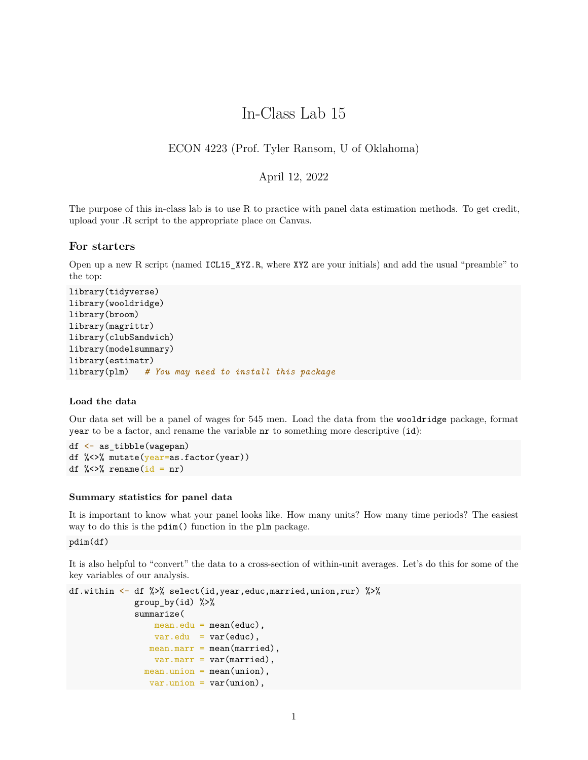# In-Class Lab 15

# ECON 4223 (Prof. Tyler Ransom, U of Oklahoma)

# April 12, 2022

The purpose of this in-class lab is to use R to practice with panel data estimation methods. To get credit, upload your .R script to the appropriate place on Canvas.

## **For starters**

Open up a new R script (named ICL15\_XYZ.R, where XYZ are your initials) and add the usual "preamble" to the top:

```
library(tidyverse)
library(wooldridge)
library(broom)
library(magrittr)
library(clubSandwich)
library(modelsummary)
library(estimatr)
library(plm) # You may need to install this package
```
## **Load the data**

Our data set will be a panel of wages for 545 men. Load the data from the wooldridge package, format year to be a factor, and rename the variable nr to something more descriptive (id):

df <- as\_tibble(wagepan) df %<>% mutate(year=as.factor(year)) df  $\frac{9}{2}$  <>% rename(id = nr)

### **Summary statistics for panel data**

It is important to know what your panel looks like. How many units? How many time periods? The easiest way to do this is the pdim() function in the plm package.

pdim(df)

It is also helpful to "convert" the data to a cross-section of within-unit averages. Let's do this for some of the key variables of our analysis.

```
df.within <- df %>% select(id,year,educ,married,union,rur) %>%
             group_by(id) %>%
             summarize(
                mean.edu = mean(educ),
                var.edu = var(educ),
               mean.maxr = mean(maxried),
                var.maxr = var(maxried),
              mean.union = mean(union),
                var.union = var(union),
```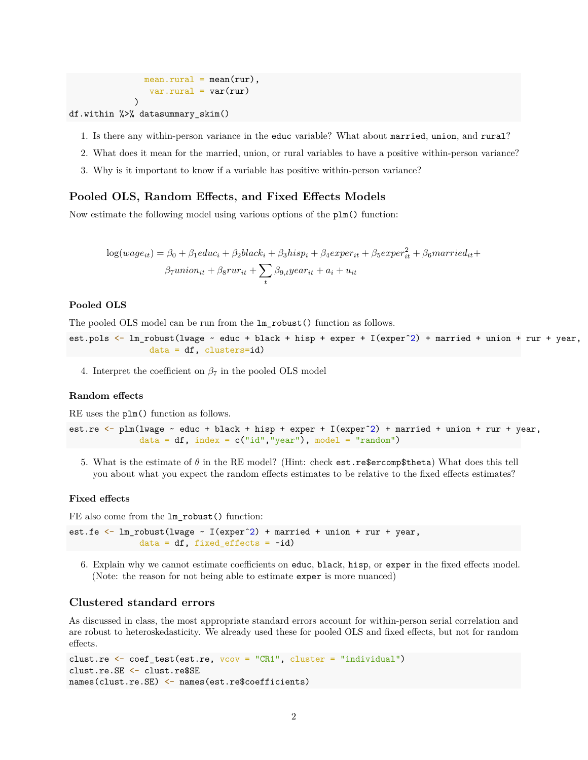$mean.run1 = mean(rur),$  $var.run1 = var(rur)$ )

- df.within %>% datasummary\_skim()
	- 1. Is there any within-person variance in the educ variable? What about married, union, and rural?
	- 2. What does it mean for the married, union, or rural variables to have a positive within-person variance?
	- 3. Why is it important to know if a variable has positive within-person variance?

## **Pooled OLS, Random Effects, and Fixed Effects Models**

Now estimate the following model using various options of the plm() function:

$$
log(wage_{it}) = \beta_0 + \beta_1 educ_i + \beta_2 black_i + \beta_3 hisp_i + \beta_4 exper_{it} + \beta_5 exper_{it}^2 + \beta_6 married_{it} + \beta_7 union_{it} + \beta_8 run_{it} + \sum_t \beta_{9,t} year_{it} + a_i + u_{it}
$$

#### **Pooled OLS**

The pooled OLS model can be run from the lm\_robust() function as follows.

est.pols <- lm\_robust(lwage ~ educ + black + hisp + exper + I(experˆ2) + married + union + rur + year,  $data = df$ ,  $clusters = id$ 

4. Interpret the coefficient on  $\beta_7$  in the pooled OLS model

# **Random effects**

RE uses the plm() function as follows.

```
est.re <- plm(lwage ~ educ + black + hisp + exper + I(experˆ2) + married + union + rur + year,
              data = df, index = c("id", "year"), model = "random")
```
5. What is the estimate of *θ* in the RE model? (Hint: check est.re\$ercomp\$theta) What does this tell you about what you expect the random effects estimates to be relative to the fixed effects estimates?

#### **Fixed effects**

FE also come from the lm\_robust() function:

```
est.fe \leq lm_robust(lwage \sim I(exper^2) + married + union + rur + year,
              data = df, fixed_{effects} = -id)
```
6. Explain why we cannot estimate coefficients on educ, black, hisp, or exper in the fixed effects model. (Note: the reason for not being able to estimate exper is more nuanced)

#### **Clustered standard errors**

As discussed in class, the most appropriate standard errors account for within-person serial correlation and are robust to heteroskedasticity. We already used these for pooled OLS and fixed effects, but not for random effects.

```
clust.re <- coef_test(est.re, vcov = "CR1", cluster = "individual")
clust.re.SE <- clust.re$SE
names(clust.re.SE) <- names(est.re$coefficients)
```